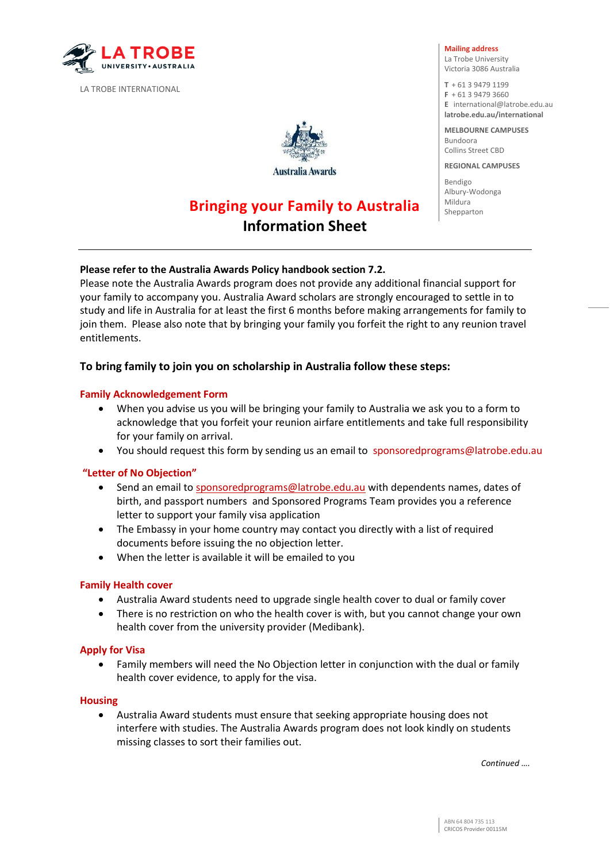

LA TROBE INTERNATIONAL



**Australia Awards** 

# **Bringing your Family to Australia Information Sheet**

#### **Mailing address**

La Trobe University Victoria 3086 Australia

**T** + 61 3 9479 1199 **F** + 61 3 9479 3660 **E** [international@latrobe.edu.au](mailto:%20international@latrobe.edu.au)  **latrobe.edu.au/international** 

**MELBOURNE CAMPUSES**  Bundoora Collins Street CBD

**REGIONAL CAMPUSES** 

Bendigo Albury-Wodonga Mildura Shepparton

# **Please refer to the Australia Awards Policy handbook section 7.2.**

Please note the Australia Awards program does not provide any additional financial support for your family to accompany you. Australia Award scholars are strongly encouraged to settle in to study and life in Australia for at least the first 6 months before making arrangements for family to join them. Please also note that by bringing your family you forfeit the right to any reunion travel entitlements.

# **To bring family to join you on scholarship in Australia follow these steps:**

#### **Family Acknowledgement Form**

- When you advise us you will be bringing your family to Australia we ask you to a form to acknowledge that you forfeit your reunion airfare entitlements and take full responsibility for your family on arrival.
- You should request this form by sending us an email to [sponsoredprograms@latrobe.edu.au](mailto:sponsoredprograms@latrobe.edu.au)

#### **"Letter of No Objection"**

- Send an email to [sponsoredprograms@latrobe.edu.au](mailto:sponsoredprograms@latrobe.edu.au) with dependents names, dates of birth, and passport numbers and Sponsored Programs Team provides you a reference letter to support your family visa application
- The Embassy in your home country may contact you directly with a list of required documents before issuing the no objection letter.
- When the letter is available it will be emailed to you

#### **Family Health cover**

- Australia Award students need to upgrade single health cover to dual or family cover
- There is no restriction on who the health cover is with, but you cannot change your own health cover from the university provider (Medibank).

#### **Apply for Visa**

 Family members will need the No Objection letter in conjunction with the dual or family health cover evidence, to apply for the visa.

#### **Housing**

 Australia Award students must ensure that seeking appropriate housing does not interfere with studies. The Australia Awards program does not look kindly on students missing classes to sort their families out.

*Continued ….*